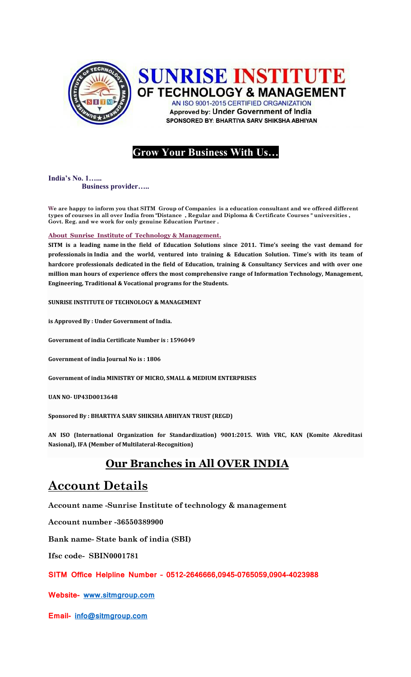

## **SUNRISE INSTITUTE** OF TECHNOLOGY & MANAGEMENT

AN ISO 9001-2015 CERTIFIED ORGANIZATION **Approved by: Under Government of India** SPONSORED BY: BHARTIYA SARV SHIKSHA ABHIYAN

### **Grow Your Business With Us…**

**India's No. 1…... Business provider…..** 

**We are happy to inform you that SITM Group of Companies is a education consultant and we offered different types of courses in all over India from "Distance , Regular and Diploma & Certificate Courses " universities , Govt. Reg. and we work for only genuine Education Partner .**

#### **About Sunrise Institute of Technology & Management.**

**SITM is a leading name in the field of Education Solutions since 2011. Time's seeing the vast demand for professionals in India and the world, ventured into training & Education Solution. Time's with its team of hardcore professionals dedicated in the field of Education, training & Consultancy Services and with over one million man hours of experience offers the most comprehensive range of Information Technology, Management, Engineering, Traditional & Vocational programs for the Students.**

**SUNRISE INSTITUTE OF TECHNOLOGY & MANAGEMENT** 

**is Approved By : Under Government of India.**

**Government of india Certificate Number is : 1596049**

**Government of india Journal No is : 1806**

**Government of india MINISTRY OF MICRO, SMALL & MEDIUM ENTERPRISES**

**UAN NO- UP43D0013648**

**Sponsored By : BHARTIYA SARV SHIKSHA ABHIYAN TRUST (REGD)**

**AN ISO (International Organization for Standardization) 9001:2015. With VRC, KAN (Komite Akreditasi Nasional), IFA (Member of Multilateral-Recognition)** 

### **Our Branches in All OVER INDIA**

## **Account Details**

**Account name -Sunrise Institute of technology & management**

**Account number -36550389900**

**Bank name- State bank of india (SBI)**

**Ifsc code- SBIN0001781**

#### **SITM Office Helpline Number – 0512-2646666,0945-0765059,0904-4023988**

**Website- [www.sitmgroup.com](http://www.sitmgroup.com/)**

**Email- [info@sitmgroup.com](mailto:info@sitmgroup.com)**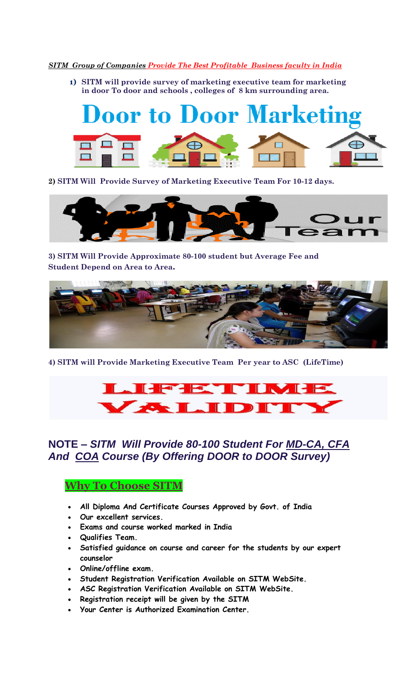#### *SITM Group of Companies Provide The Best Profitable Business faculty in India*

**1) SITM will provide survey of marketing executive team for marketing in door To door and schools , colleges of 8 km surrounding area.**



**2) SITM Will Provide Survey of Marketing Executive Team For 10-12 days.**



**3) SITM Will Provide Approximate 80-100 student but Average Fee and Student Depend on Area to Area.**



**4) SITM will Provide Marketing Executive Team Per year to ASC (LifeTime)** 



**NOTE –** *SITM Will Provide 80-100 Student For MD-CA, CFA And COA Course (By Offering DOOR to DOOR Survey) e*

#### **Why To Choose SITM**

- **All Diploma And Certificate Courses Approved by Govt. of India**
- **Our excellent services.**
- **Exams and course worked marked in India**
- **Qualifies Team.**
- **Satisfied guidance on course and career for the students by our expert counselor**
- **Online/offline exam.**
- **Student Registration Verification Available on SITM WebSite.**
- **ASC Registration Verification Available on SITM WebSite.**
- **Registration receipt will be given by the SITM**
- **Your Center is Authorized Examination Center.**